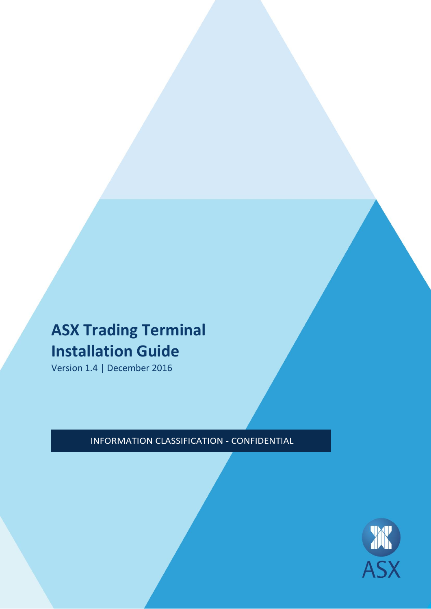# **ASX Trading Terminal Installation Guide**

Version 1.4 | December 2016

INFORMATION CLASSIFICATION - CONFIDENTIAL

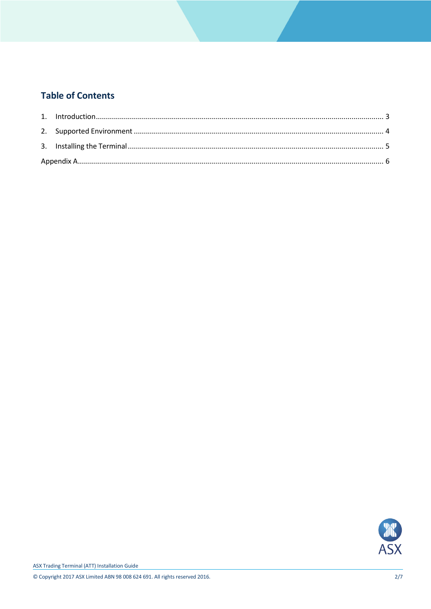## **Table of Contents**

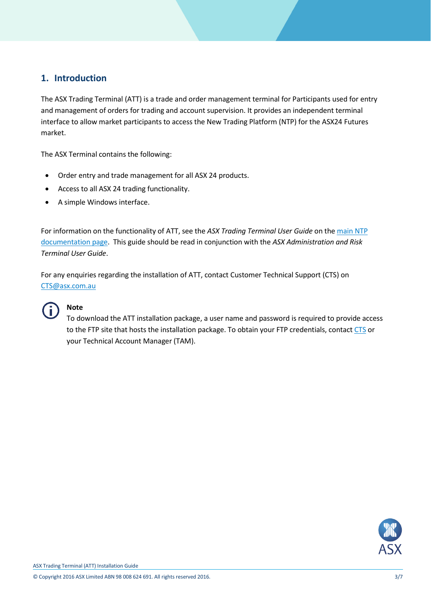## <span id="page-2-0"></span>**1. Introduction**

The ASX Trading Terminal (ATT) is a trade and order management terminal for Participants used for entry and management of orders for trading and account supervision. It provides an independent terminal interface to allow market participants to access the New Trading Platform (NTP) for the ASX24 Futures market.

The ASX Terminal contains the following:

- Order entry and trade management for all ASX 24 products.
- Access to all ASX 24 trading functionality.
- A simple Windows interface.

For information on the functionality of ATT, see the *ASX Trading Terminal User Guide* on th[e main NTP](http://www.asx.com.au/services/ntp/document-library.htm)  [documentation page.](http://www.asx.com.au/services/ntp/document-library.htm) This guide should be read in conjunction with the *ASX Administration and Risk Terminal User Guide*.

For any enquiries regarding the installation of ATT, contact Customer Technical Support (CTS) on [CTS@asx.com.au](mailto:CTS@asx.com.au)



## **Note**

To download the ATT installation package, a user name and password is required to provide access to the FTP site that hosts the installation package. To obtain your FTP credentials, contac[t CTS](mailto:CTS@asx.com.au) or your Technical Account Manager (TAM).

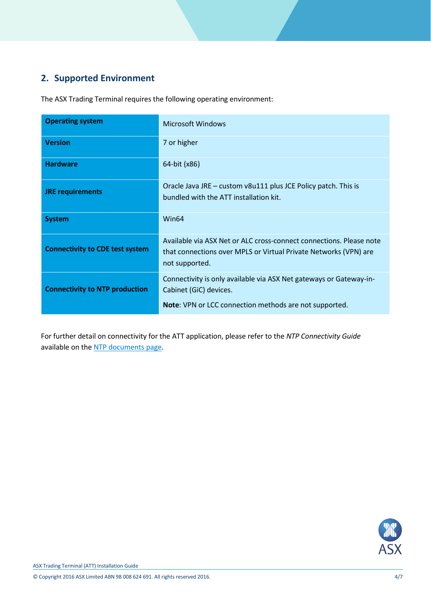# <span id="page-3-0"></span>**2. Supported Environment**

The ASX Trading Terminal requires the following operating environment:

| <b>Operating system</b>                | Microsoft Windows                                                                                                                                         |
|----------------------------------------|-----------------------------------------------------------------------------------------------------------------------------------------------------------|
| <b>Version</b>                         | 7 or higher                                                                                                                                               |
| <b>Hardware</b>                        | 64-bit (x86)                                                                                                                                              |
| <b>JRE requirements</b>                | Oracle Java JRE – custom v8u111 plus JCE Policy patch. This is<br>bundled with the ATT installation kit.                                                  |
| <b>System</b>                          | Win64                                                                                                                                                     |
| <b>Connectivity to CDE test system</b> | Available via ASX Net or ALC cross-connect connections. Please note<br>that connections over MPLS or Virtual Private Networks (VPN) are<br>not supported. |
| <b>Connectivity to NTP production</b>  | Connectivity is only available via ASX Net gateways or Gateway-in-<br>Cabinet (GiC) devices.<br>Note: VPN or LCC connection methods are not supported.    |

For further detail on connectivity for the ATT application, please refer to the *NTP Connectivity Guide* available on th[e NTP documents page.](http://www.asx.com.au/services/ntp/document-library.htm)

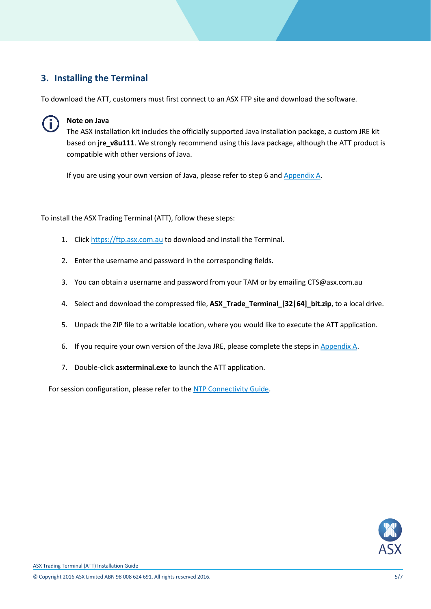## <span id="page-4-0"></span>**3. Installing the Terminal**

To download the ATT, customers must first connect to an ASX FTP site and download the software.



### **Note on Java**

The ASX installation kit includes the officially supported Java installation package, a custom JRE kit based on **jre\_v8u111**. We strongly recommend using this Java package, although the ATT product is compatible with other versions of Java.

If you are using your own version of Java, please refer to step 6 and [Appendix A.](#page-5-0)

<span id="page-4-1"></span>To install the ASX Trading Terminal (ATT), follow these steps:

- 1. Click [https://ftp.asx.com.au](https://ftp.asx.com.au/) to download and install the Terminal.
- 2. Enter the username and password in the corresponding fields.
- 3. You can obtain a username and password from your TAM or by emailing [CTS@asx.com.au](mailto:CTS@asx.com.au)
- 4. Select and download the compressed file, **ASX\_Trade\_Terminal\_[32|64]\_bit.zip**, to a local drive.
- 5. Unpack the ZIP file to a writable location, where you would like to execute the ATT application.
- 6. If you require your own version of the Java JRE, please complete the steps in [Appendix A.](#page-5-0)
- 7. Double-click **asxterminal.exe** to launch the ATT application.

For session configuration, please refer to the [NTP Connectivity Guide.](http://www.asx.com.au/services/ntp/document-library.htm)

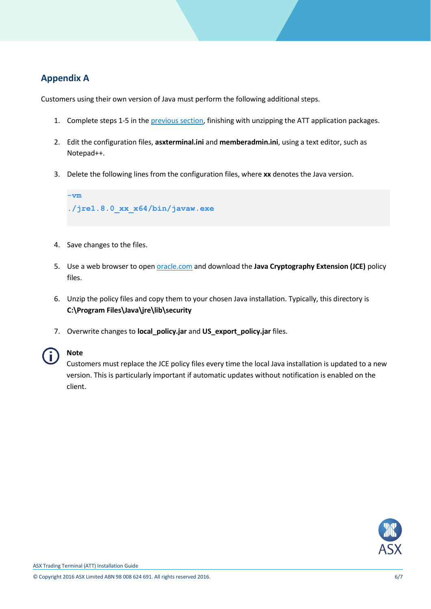## <span id="page-5-0"></span>**Appendix A**

Customers using their own version of Java must perform the following additional steps.

- 1. Complete steps 1-5 in th[e previous section,](#page-4-1) finishing with unzipping the ATT application packages.
- 2. Edit the configuration files, **asxterminal.ini** and **memberadmin.ini**, using a text editor, such as Notepad++.
- 3. Delete the following lines from the configuration files, where **xx** denotes the Java version.



- 4. Save changes to the files.
- 5. Use a web browser to open [oracle.com](http://www.oracle.com/technetwork/java/javase/downloads/index.html) and download the **Java Cryptography Extension (JCE)** policy files.
- 6. Unzip the policy files and copy them to your chosen Java installation. Typically, this directory is **C:\Program Files\Java\jre\lib\security**
- 7. Overwrite changes to **local\_policy.jar** and **US\_export\_policy.jar** files.



## **Note**

Customers must replace the JCE policy files every time the local Java installation is updated to a new version. This is particularly important if automatic updates without notification is enabled on the client.